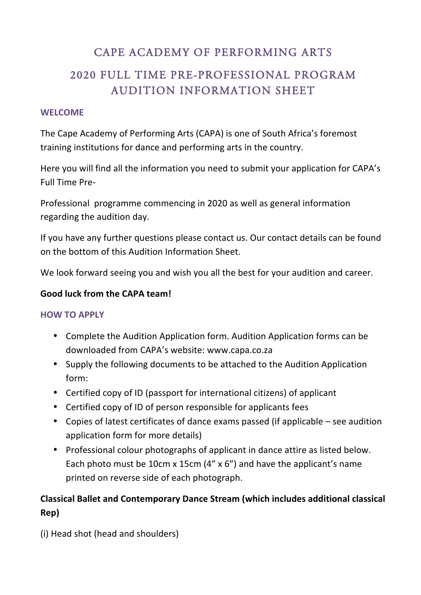# CAPE ACADEMY OF PERFORMING ARTS

# 2020 FULL TIME PRE-PROFESSIONAL PROGRAM AUDITION INFORMATION SHEET

### **WELCOME**

The Cape Academy of Performing Arts (CAPA) is one of South Africa's foremost training institutions for dance and performing arts in the country.

Here you will find all the information you need to submit your application for CAPA's Full Time Pre-

Professional programme commencing in 2020 as well as general information regarding the audition day.

If you have any further questions please contact us. Our contact details can be found on the bottom of this Audition Information Sheet.

We look forward seeing you and wish you all the best for your audition and career.

## Good luck from the CAPA team!

### **HOW TO APPLY**

- Complete the Audition Application form. Audition Application forms can be downloaded from CAPA's website: www.capa.co.za
- Supply the following documents to be attached to the Audition Application form:
- Certified copy of ID (passport for international citizens) of applicant
- Certified copy of ID of person responsible for applicants fees
- Copies of latest certificates of dance exams passed (if applicable  $-$  see audition application form for more details)
- Professional colour photographs of applicant in dance attire as listed below. Each photo must be 10cm x 15cm  $(4'' \times 6'')$  and have the applicant's name printed on reverse side of each photograph.

# **Classical Ballet and Contemporary Dance Stream (which includes additional classical Rep)**

(i) Head shot (head and shoulders)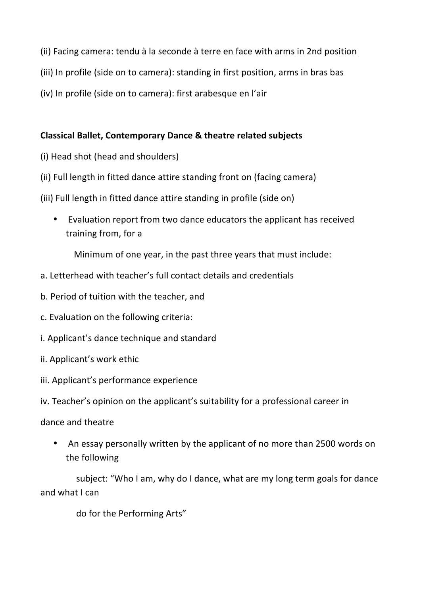- (ii) Facing camera: tendu à la seconde à terre en face with arms in 2nd position
- (iii) In profile (side on to camera): standing in first position, arms in bras bas
- (iv) In profile (side on to camera): first arabesque en l'air

#### **Classical Ballet, Contemporary Dance & theatre related subjects**

- (i) Head shot (head and shoulders)
- (ii) Full length in fitted dance attire standing front on (facing camera)
- (iii) Full length in fitted dance attire standing in profile (side on)
	- Evaluation report from two dance educators the applicant has received training from, for a

Minimum of one year, in the past three years that must include:

- a. Letterhead with teacher's full contact details and credentials
- b. Period of tuition with the teacher, and
- c. Evaluation on the following criteria:
- i. Applicant's dance technique and standard
- ii. Applicant's work ethic
- iii. Applicant's performance experience
- iv. Teacher's opinion on the applicant's suitability for a professional career in
- dance and theatre
	- An essay personally written by the applicant of no more than 2500 words on the following

subject: "Who I am, why do I dance, what are my long term goals for dance and what I can

do for the Performing Arts"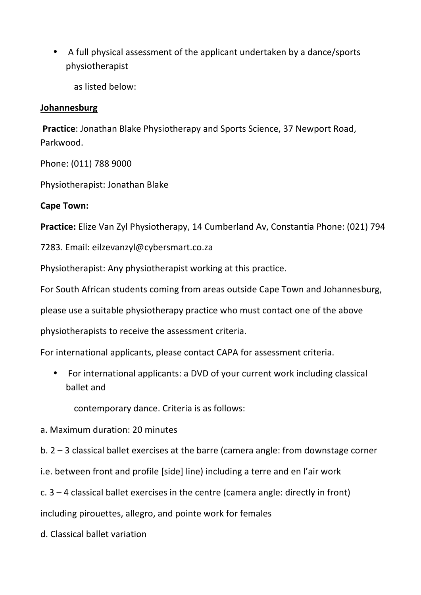A full physical assessment of the applicant undertaken by a dance/sports physiotherapist

as listed below:

## **Johannesburg**

**Practice:** Jonathan Blake Physiotherapy and Sports Science, 37 Newport Road, Parkwood.

Phone: (011) 788 9000

Physiotherapist: Jonathan Blake

# **Cape Town:**

**Practice:** Elize Van Zyl Physiotherapy, 14 Cumberland Av, Constantia Phone: (021) 794

7283. Email: eilzevanzyl@cybersmart.co.za

Physiotherapist: Any physiotherapist working at this practice.

For South African students coming from areas outside Cape Town and Johannesburg,

please use a suitable physiotherapy practice who must contact one of the above

physiotherapists to receive the assessment criteria.

For international applicants, please contact CAPA for assessment criteria.

• For international applicants: a DVD of your current work including classical ballet and

contemporary dance. Criteria is as follows:

- a. Maximum duration: 20 minutes
- b.  $2 3$  classical ballet exercises at the barre (camera angle: from downstage corner

i.e. between front and profile [side] line) including a terre and en l'air work

c.  $3 - 4$  classical ballet exercises in the centre (camera angle: directly in front)

including pirouettes, allegro, and pointe work for females

d. Classical ballet variation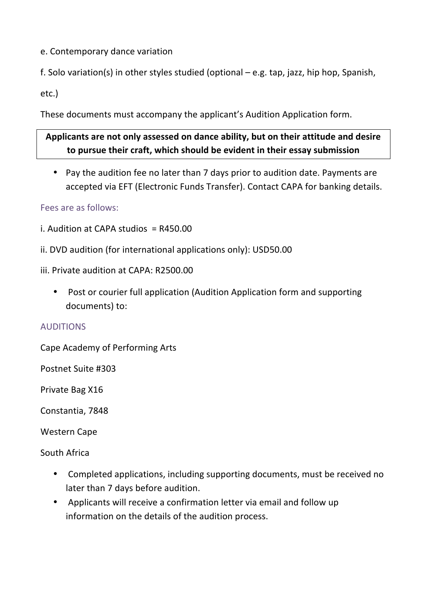e. Contemporary dance variation

f. Solo variation(s) in other styles studied (optional  $-$  e.g. tap, jazz, hip hop, Spanish,

etc.)

These documents must accompany the applicant's Audition Application form.

# Applicants are not only assessed on dance ability, but on their attitude and desire to pursue their craft, which should be evident in their essay submission

• Pay the audition fee no later than 7 days prior to audition date. Payments are accepted via EFT (Electronic Funds Transfer). Contact CAPA for banking details.

# Fees are as follows:

- i. Audition at CAPA studios  $= R450.00$
- ii. DVD audition (for international applications only): USD50.00
- iii. Private audition at CAPA: R2500.00
	- Post or courier full application (Audition Application form and supporting documents) to:

# AUDITIONS

Cape Academy of Performing Arts

Postnet Suite #303

Private Bag X16

Constantia, 7848

Western Cape

South Africa

- Completed applications, including supporting documents, must be received no later than 7 days before audition.
- Applicants will receive a confirmation letter via email and follow up information on the details of the audition process.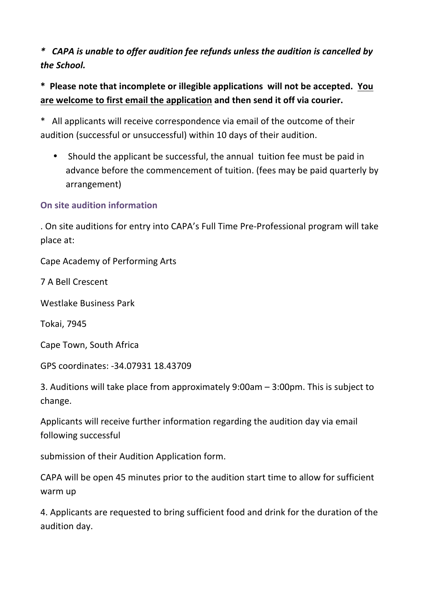*\* CAPA is unable to offer audition fee refunds unless the audition is cancelled by the School.*

\* Please note that incomplete or illegible applications will not be accepted. You are welcome to first email the application and then send it off via courier.

\* All applicants will receive correspondence via email of the outcome of their audition (successful or unsuccessful) within 10 days of their audition.

• Should the applicant be successful, the annual tuition fee must be paid in advance before the commencement of tuition. (fees may be paid quarterly by arrangement)

# **On site audition information**

. On site auditions for entry into CAPA's Full Time Pre-Professional program will take place at:

Cape Academy of Performing Arts

7 A Bell Crescent

Westlake Business Park

Tokai, 7945

Cape Town, South Africa

GPS coordinates: -34.07931 18.43709

3. Auditions will take place from approximately  $9:00$ am  $- 3:00$ pm. This is subject to change.

Applicants will receive further information regarding the audition day via email following successful

submission of their Audition Application form.

CAPA will be open 45 minutes prior to the audition start time to allow for sufficient warm up

4. Applicants are requested to bring sufficient food and drink for the duration of the audition day.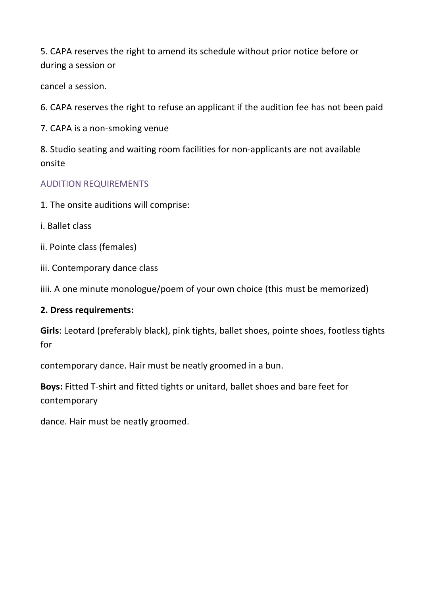5. CAPA reserves the right to amend its schedule without prior notice before or during a session or

cancel a session.

6. CAPA reserves the right to refuse an applicant if the audition fee has not been paid

7. CAPA is a non-smoking venue

8. Studio seating and waiting room facilities for non-applicants are not available onsite

## AUDITION REQUIREMENTS

- 1. The onsite auditions will comprise:
- i. Ballet class
- ii. Pointe class (females)
- iii. Contemporary dance class

iiii. A one minute monologue/poem of your own choice (this must be memorized)

### **2. Dress requirements:**

**Girls**: Leotard (preferably black), pink tights, ballet shoes, pointe shoes, footless tights for

contemporary dance. Hair must be neatly groomed in a bun.

**Boys:** Fitted T-shirt and fitted tights or unitard, ballet shoes and bare feet for contemporary

dance. Hair must be neatly groomed.